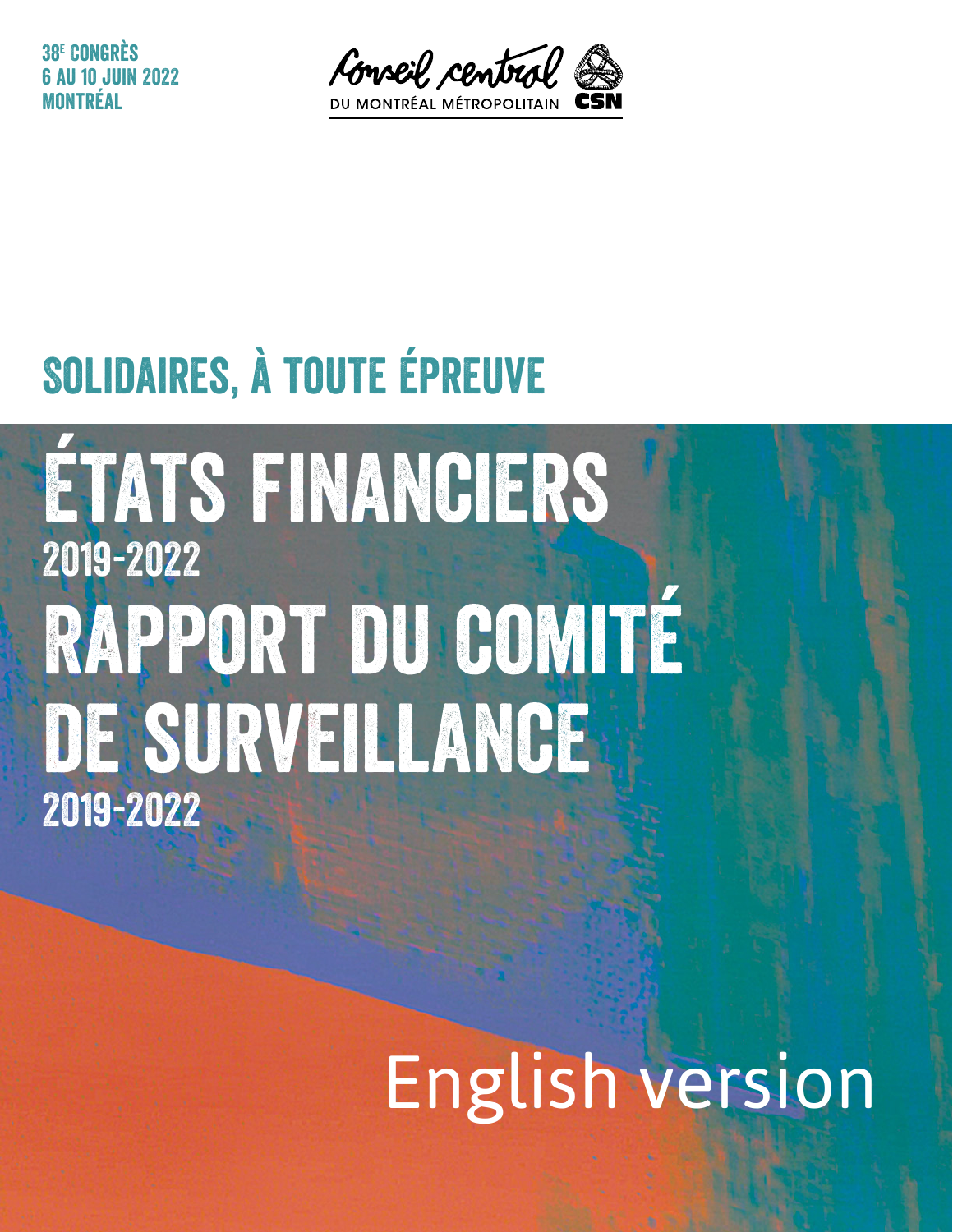38e Congrès **0 3 JUIN 2022** Montréal



### Solidaires, à toute épreuve

États financiers 2019-2022 Rapport du comité de surveillance 2019-2022

# English version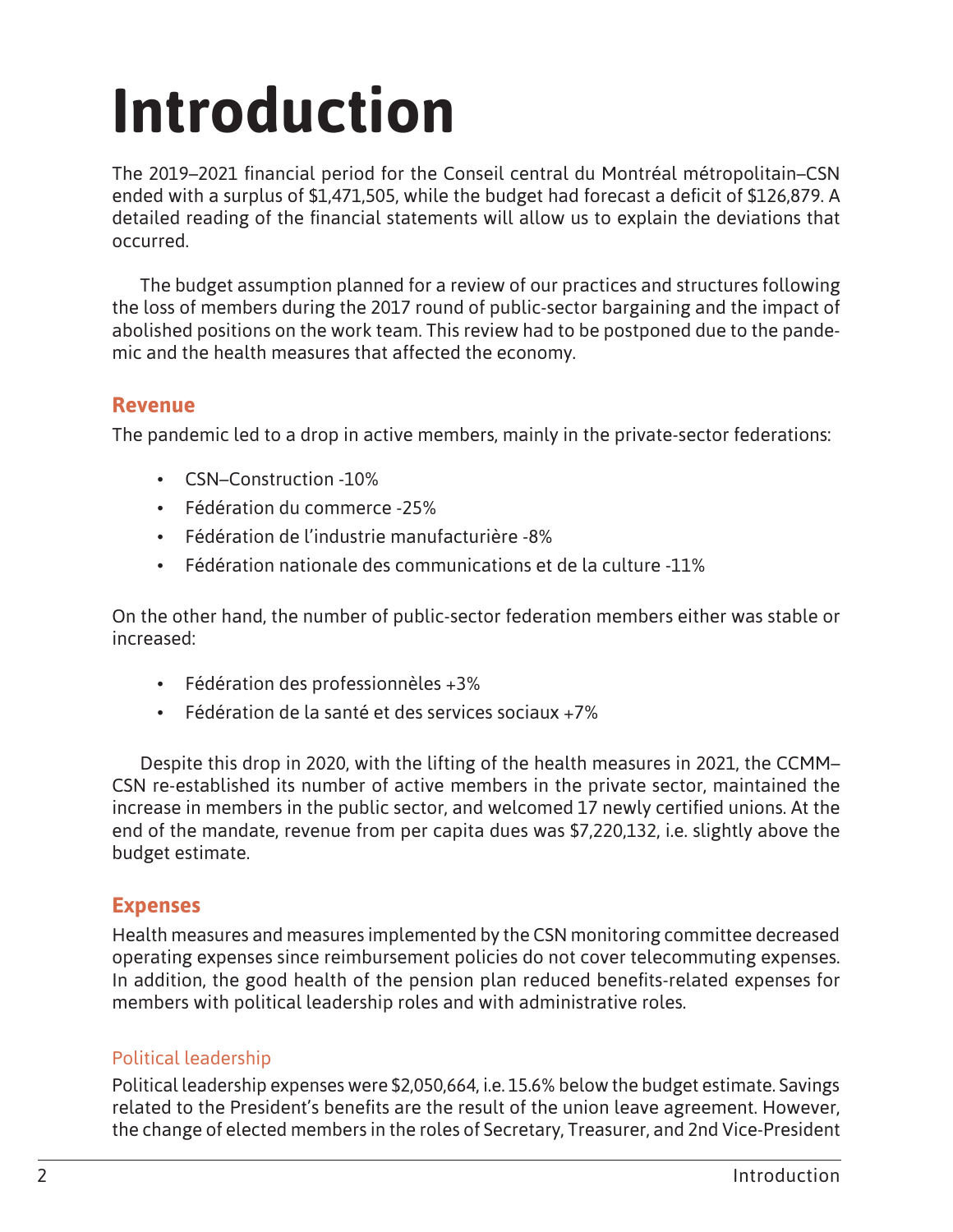## **Introduction**

The 2019–2021 financial period for the Conseil central du Montréal métropolitain–CSN ended with a surplus of \$1,471,505, while the budget had forecast a deficit of \$126,879. A detailed reading of the financial statements will allow us to explain the deviations that occurred.

The budget assumption planned for a review of our practices and structures following the loss of members during the 2017 round of public-sector bargaining and the impact of abolished positions on the work team. This review had to be postponed due to the pandemic and the health measures that affected the economy.

#### **Revenue**

The pandemic led to a drop in active members, mainly in the private-sector federations:

- CSN–Construction -10%
- Fédération du commerce -25%
- Fédération de l'industrie manufacturière -8%
- Fédération nationale des communications et de la culture -11%

On the other hand, the number of public-sector federation members either was stable or increased:

- Fédération des professionnèles +3%
- Fédération de la santé et des services sociaux +7%

Despite this drop in 2020, with the lifting of the health measures in 2021, the CCMM– CSN re-established its number of active members in the private sector, maintained the increase in members in the public sector, and welcomed 17 newly certified unions. At the end of the mandate, revenue from per capita dues was \$7,220,132, i.e. slightly above the budget estimate.

#### **Expenses**

Health measures and measures implemented by the CSN monitoring committee decreased operating expenses since reimbursement policies do not cover telecommuting expenses. In addition, the good health of the pension plan reduced benefits-related expenses for members with political leadership roles and with administrative roles.

#### Political leadership

Political leadership expenses were \$2,050,664, i.e. 15.6% below the budget estimate. Savings related to the President's benefits are the result of the union leave agreement. However, the change of elected members in the roles of Secretary, Treasurer, and 2nd Vice-President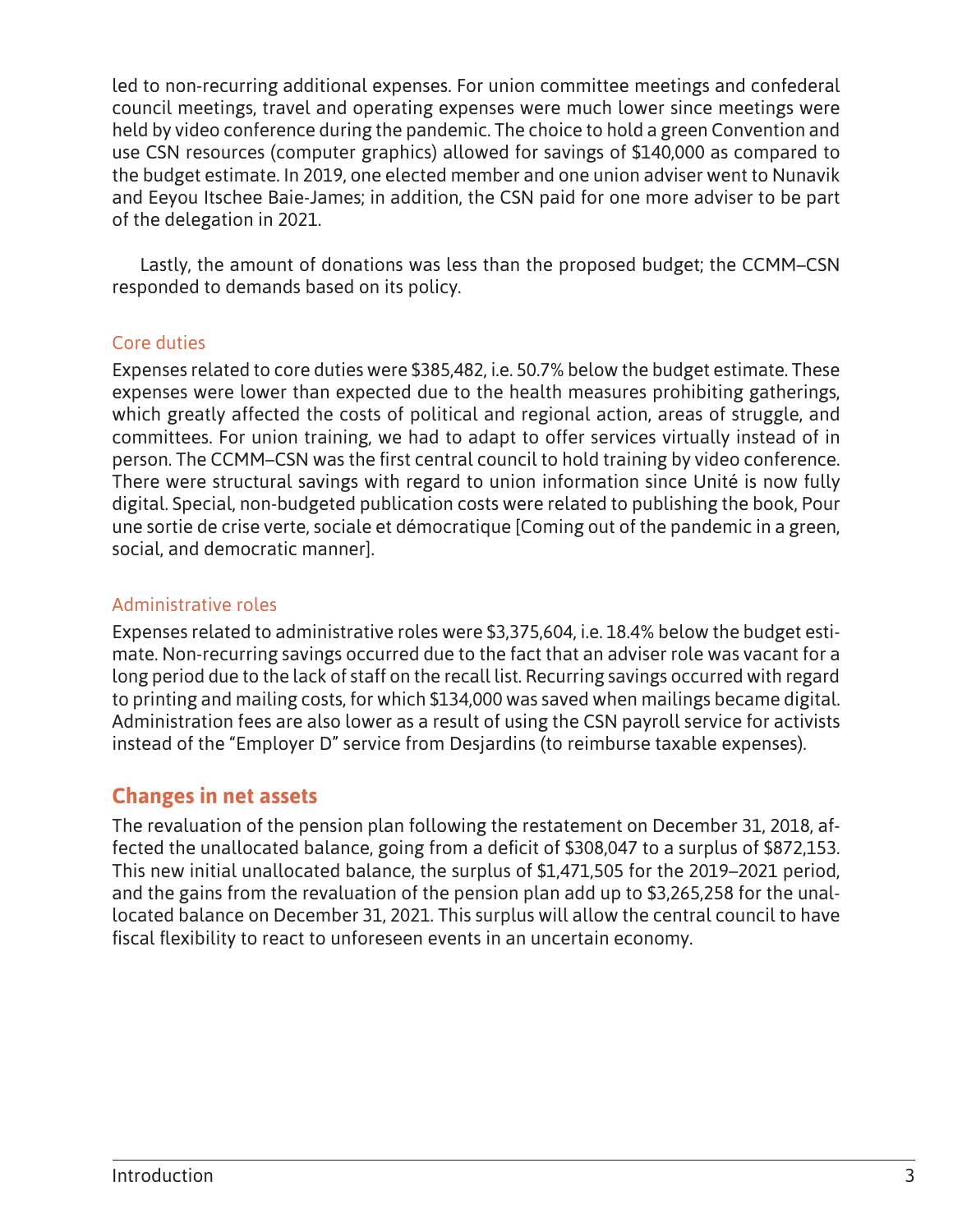led to non-recurring additional expenses. For union committee meetings and confederal council meetings, travel and operating expenses were much lower since meetings were held by video conference during the pandemic. The choice to hold a green Convention and use CSN resources (computer graphics) allowed for savings of \$140,000 as compared to the budget estimate. In 2019, one elected member and one union adviser went to Nunavik and Eeyou Itschee Baie-James; in addition, the CSN paid for one more adviser to be part of the delegation in 2021.

Lastly, the amount of donations was less than the proposed budget; the CCMM–CSN responded to demands based on its policy.

#### Core duties

Expenses related to core duties were \$385,482, i.e. 50.7% below the budget estimate. These expenses were lower than expected due to the health measures prohibiting gatherings, which greatly affected the costs of political and regional action, areas of struggle, and committees. For union training, we had to adapt to offer services virtually instead of in person. The CCMM–CSN was the first central council to hold training by video conference. There were structural savings with regard to union information since Unité is now fully digital. Special, non-budgeted publication costs were related to publishing the book, Pour une sortie de crise verte, sociale et démocratique [Coming out of the pandemic in a green, social, and democratic manner].

#### Administrative roles

Expenses related to administrative roles were \$3,375,604, i.e. 18.4% below the budget estimate. Non-recurring savings occurred due to the fact that an adviser role was vacant for a long period due to the lack of staff on the recall list. Recurring savings occurred with regard to printing and mailing costs, for which \$134,000 was saved when mailings became digital. Administration fees are also lower as a result of using the CSN payroll service for activists instead of the "Employer D" service from Desjardins (to reimburse taxable expenses).

#### **Changes in net assets**

The revaluation of the pension plan following the restatement on December 31, 2018, affected the unallocated balance, going from a deficit of \$308,047 to a surplus of \$872,153. This new initial unallocated balance, the surplus of \$1,471,505 for the 2019–2021 period, and the gains from the revaluation of the pension plan add up to \$3,265,258 for the unallocated balance on December 31, 2021. This surplus will allow the central council to have fiscal flexibility to react to unforeseen events in an uncertain economy.